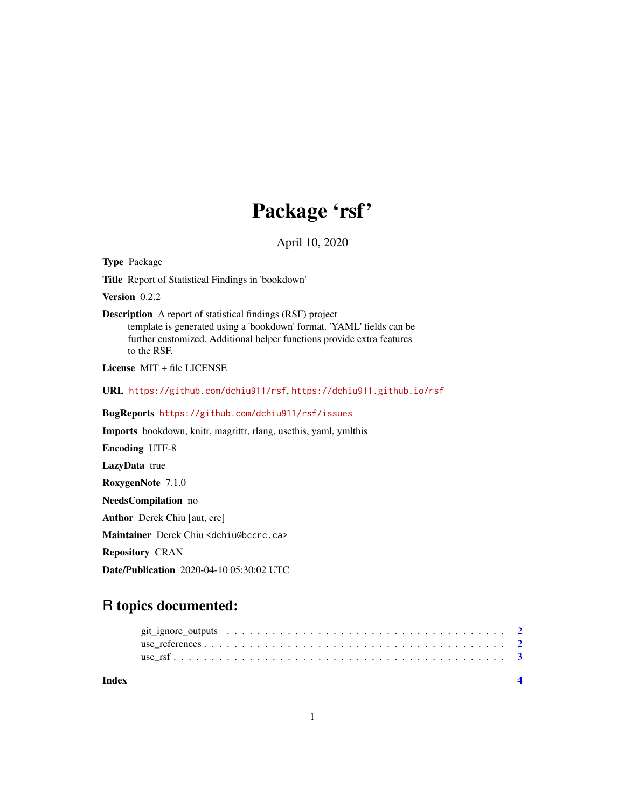## Package 'rsf'

April 10, 2020

Type Package

Title Report of Statistical Findings in 'bookdown'

Version 0.2.2

Description A report of statistical findings (RSF) project template is generated using a 'bookdown' format. 'YAML' fields can be further customized. Additional helper functions provide extra features to the RSF.

License MIT + file LICENSE

URL <https://github.com/dchiu911/rsf>, <https://dchiu911.github.io/rsf>

BugReports <https://github.com/dchiu911/rsf/issues>

Imports bookdown, knitr, magrittr, rlang, usethis, yaml, ymlthis

Encoding UTF-8

LazyData true

RoxygenNote 7.1.0

NeedsCompilation no

Author Derek Chiu [aut, cre]

Maintainer Derek Chiu <dchiu@bccrc.ca>

Repository CRAN

Date/Publication 2020-04-10 05:30:02 UTC

### R topics documented:

| Index |  |
|-------|--|
|       |  |
|       |  |
|       |  |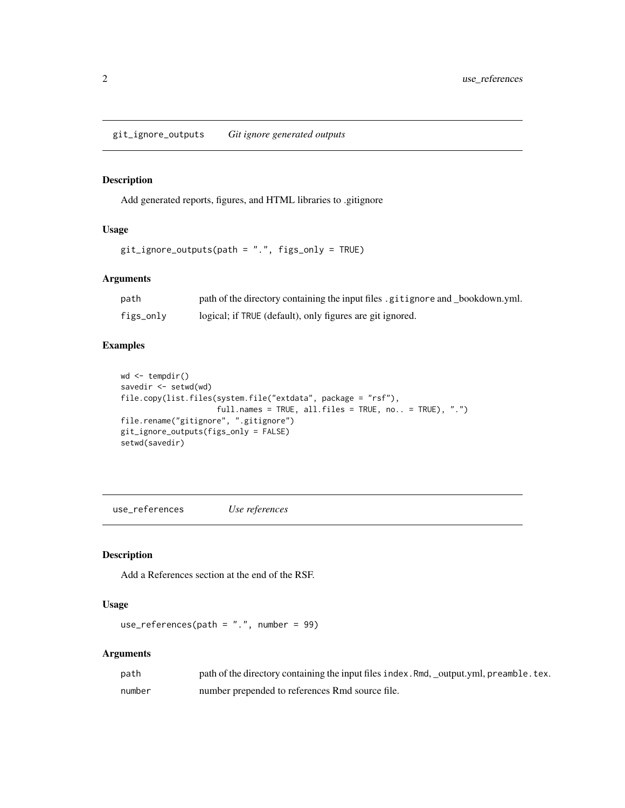<span id="page-1-0"></span>git\_ignore\_outputs *Git ignore generated outputs*

#### Description

Add generated reports, figures, and HTML libraries to .gitignore

#### Usage

git\_ignore\_outputs(path = ".", figs\_only = TRUE)

#### Arguments

| path      | path of the directory containing the input files gitignore and bookdown.yml. |
|-----------|------------------------------------------------------------------------------|
| figs_only | logical; if TRUE (default), only figures are git ignored.                    |

#### Examples

```
wd <- tempdir()
savedir <- setwd(wd)
file.copy(list.files(system.file("extdata", package = "rsf"),
                    full.names = TRUE, all.files = TRUE, no.. = TRUE), ".")
file.rename("gitignore", ".gitignore")
git_ignore_outputs(figs_only = FALSE)
setwd(savedir)
```
use\_references *Use references*

#### Description

Add a References section at the end of the RSF.

#### Usage

```
use_references(path = ".", number = 99)
```
#### Arguments

| path   | path of the directory containing the input files index. Rmd, _output.yml, preamble. tex. |
|--------|------------------------------------------------------------------------------------------|
| number | number prepended to references Rmd source file.                                          |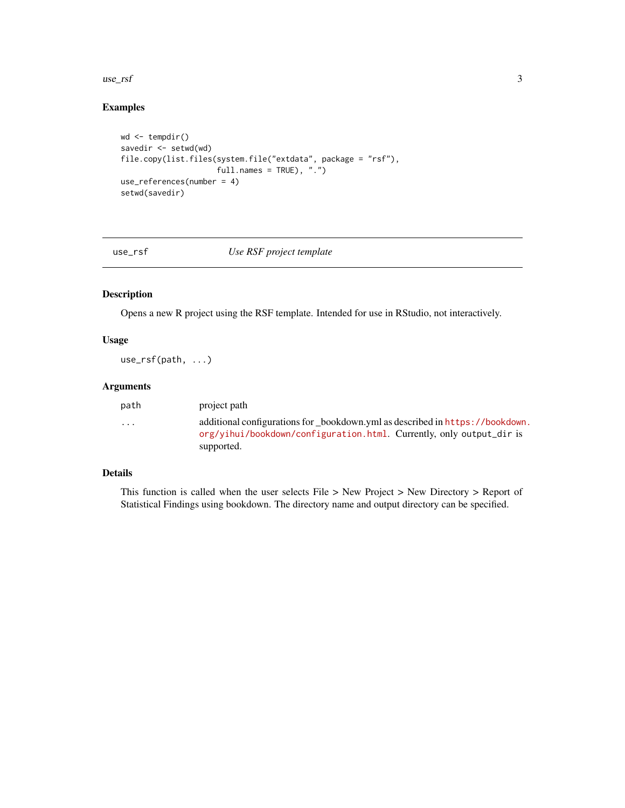<span id="page-2-0"></span> $use\_rsf$  3

#### Examples

```
wd <- tempdir()
savedir \leq setwd(wd)
file.copy(list.files(system.file("extdata", package = "rsf"),
                     full.names = TRUE), ".")
use_references(number = 4)
setwd(savedir)
```
#### use\_rsf *Use RSF project template*

#### Description

Opens a new R project using the RSF template. Intended for use in RStudio, not interactively.

#### Usage

use\_rsf(path, ...)

#### Arguments

| path                    | project path                                                                                                                                                       |
|-------------------------|--------------------------------------------------------------------------------------------------------------------------------------------------------------------|
| $\cdot$ $\cdot$ $\cdot$ | additional configurations for bookdown.yml as described in https://bookdown.<br>org/vihui/bookdown/configuration.html. Currently, only output_dir is<br>supported. |
|                         |                                                                                                                                                                    |

#### Details

This function is called when the user selects File > New Project > New Directory > Report of Statistical Findings using bookdown. The directory name and output directory can be specified.